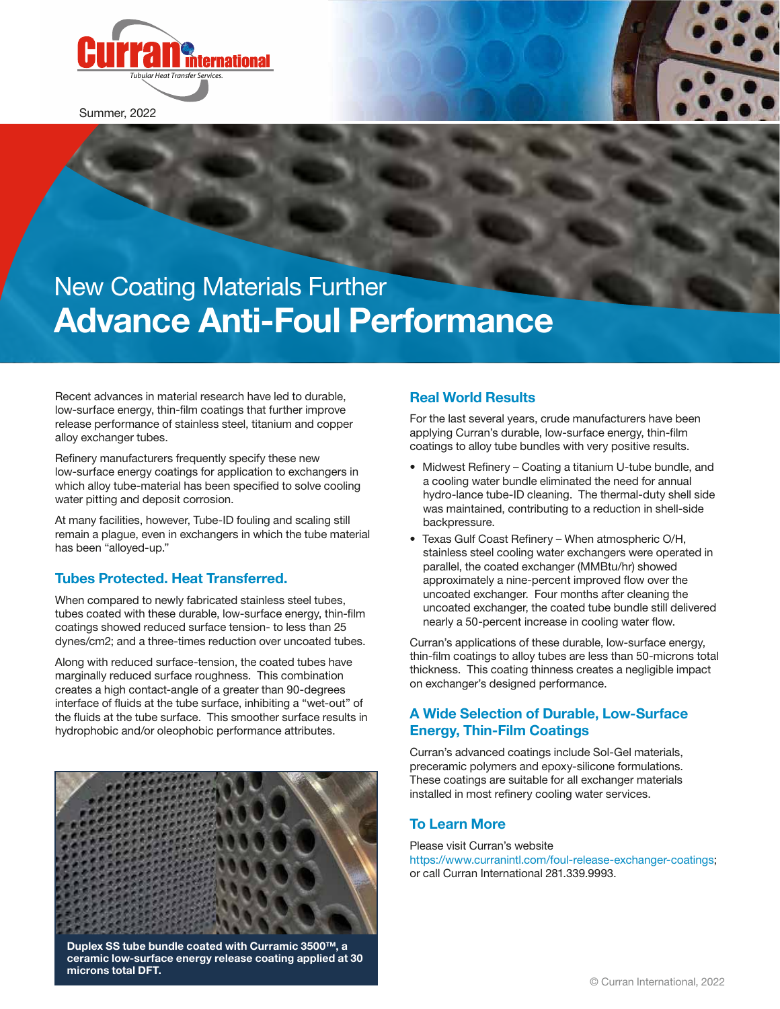

Summer, 2022

# New Coating Materials Further **Advance Anti-Foul Performance**

Recent advances in material research have led to durable, low-surface energy, thin-film coatings that further improve release performance of stainless steel, titanium and copper allov exchanger tubes.

Refinery manufacturers frequently specify these new low-surface energy coatings for application to exchangers in which alloy tube-material has been specified to solve cooling water pitting and deposit corrosion.

At many facilities, however, Tube-ID fouling and scaling still remain a plague, even in exchangers in which the tube material has been "alloyed-up."

# **Tubes Protected. Heat Transferred.**

When compared to newly fabricated stainless steel tubes, tubes coated with these durable, low-surface energy, thin-film coatings showed reduced surface tension- to less than 25 dynes/cm2; and a three-times reduction over uncoated tubes.

Along with reduced surface-tension, the coated tubes have marginally reduced surface roughness. This combination creates a high contact-angle of a greater than 90-degrees interface of fluids at the tube surface, inhibiting a "wet-out" of the fluids at the tube surface. This smoother surface results in hydrophobic and/or oleophobic performance attributes.



**Duplex SS tube bundle coated with Curramic 3500™, a ceramic low-surface energy release coating applied at 30 microns total DFT.**

# **Real World Results**

For the last several years, crude manufacturers have been applying Curran's durable, low-surface energy, thin-film coatings to alloy tube bundles with very positive results.

- Midwest Refinery Coating a titanium U-tube bundle, and a cooling water bundle eliminated the need for annual hydro-lance tube-ID cleaning. The thermal-duty shell side was maintained, contributing to a reduction in shell-side backpressure.
- Texas Gulf Coast Refinery When atmospheric O/H, stainless steel cooling water exchangers were operated in parallel, the coated exchanger (MMBtu/hr) showed approximately a nine-percent improved flow over the uncoated exchanger. Four months after cleaning the uncoated exchanger, the coated tube bundle still delivered nearly a 50-percent increase in cooling water flow.

Curran's applications of these durable, low-surface energy, thin-film coatings to alloy tubes are less than 50-microns total thickness. This coating thinness creates a negligible impact on exchanger's designed performance.

# **A Wide Selection of Durable, Low-Surface Energy, Thin-Film Coatings**

Curran's advanced coatings include Sol-Gel materials, preceramic polymers and epoxy-silicone formulations. These coatings are suitable for all exchanger materials installed in most refinery cooling water services.

#### **To Learn More**

Please visit Curran's website https://www.curranintl.com/foul-release-exchanger-coatings; or call Curran International 281.339.9993.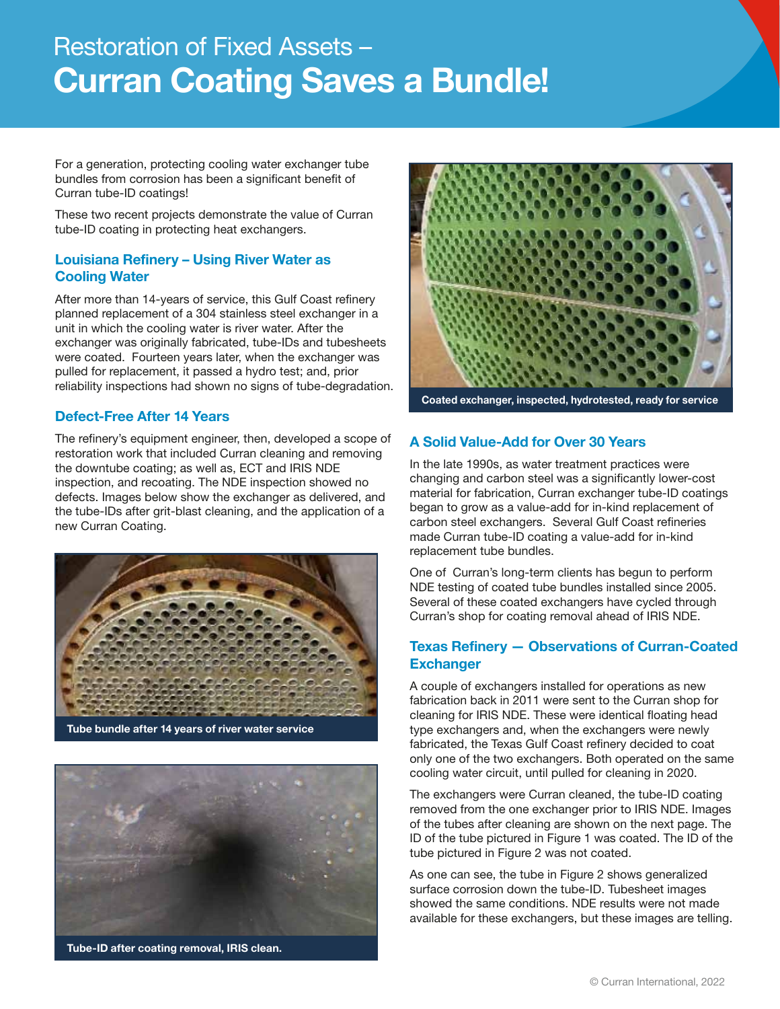# Restoration of Fixed Assets – **Curran Coating Saves a Bundle!**

For a generation, protecting cooling water exchanger tube bundles from corrosion has been a significant benefit of Curran tube-ID coatings!

These two recent projects demonstrate the value of Curran tube-ID coating in protecting heat exchangers.

# **Louisiana Refinery – Using River Water as Cooling Water**

After more than 14-years of service, this Gulf Coast refinery planned replacement of a 304 stainless steel exchanger in a unit in which the cooling water is river water. After the exchanger was originally fabricated, tube-IDs and tubesheets were coated. Fourteen years later, when the exchanger was pulled for replacement, it passed a hydro test; and, prior reliability inspections had shown no signs of tube-degradation.

#### **Defect-Free After 14 Years**

The refinery's equipment engineer, then, developed a scope of restoration work that included Curran cleaning and removing the downtube coating; as well as, ECT and IRIS NDE inspection, and recoating. The NDE inspection showed no defects. Images below show the exchanger as delivered, and the tube-IDs after grit-blast cleaning, and the application of a new Curran Coating.



**Tube bundle after 14 years of river water service**



**Tube-ID after coating removal, IRIS clean.**



**Coated exchanger, inspected, hydrotested, ready for service**

# **A Solid Value-Add for Over 30 Years**

In the late 1990s, as water treatment practices were changing and carbon steel was a significantly lower-cost material for fabrication, Curran exchanger tube-ID coatings began to grow as a value-add for in-kind replacement of carbon steel exchangers. Several Gulf Coast refineries made Curran tube-ID coating a value-add for in-kind replacement tube bundles.

One of Curran's long-term clients has begun to perform NDE testing of coated tube bundles installed since 2005. Several of these coated exchangers have cycled through Curran's shop for coating removal ahead of IRIS NDE.

#### **Texas Refinery — Observations of Curran-Coated Exchanger**

A couple of exchangers installed for operations as new fabrication back in 2011 were sent to the Curran shop for cleaning for IRIS NDE. These were identical floating head type exchangers and, when the exchangers were newly fabricated, the Texas Gulf Coast refinery decided to coat only one of the two exchangers. Both operated on the same cooling water circuit, until pulled for cleaning in 2020.

The exchangers were Curran cleaned, the tube-ID coating removed from the one exchanger prior to IRIS NDE. Images of the tubes after cleaning are shown on the next page. The ID of the tube pictured in Figure 1 was coated. The ID of the tube pictured in Figure 2 was not coated.

As one can see, the tube in Figure 2 shows generalized surface corrosion down the tube-ID. Tubesheet images showed the same conditions. NDE results were not made available for these exchangers, but these images are telling.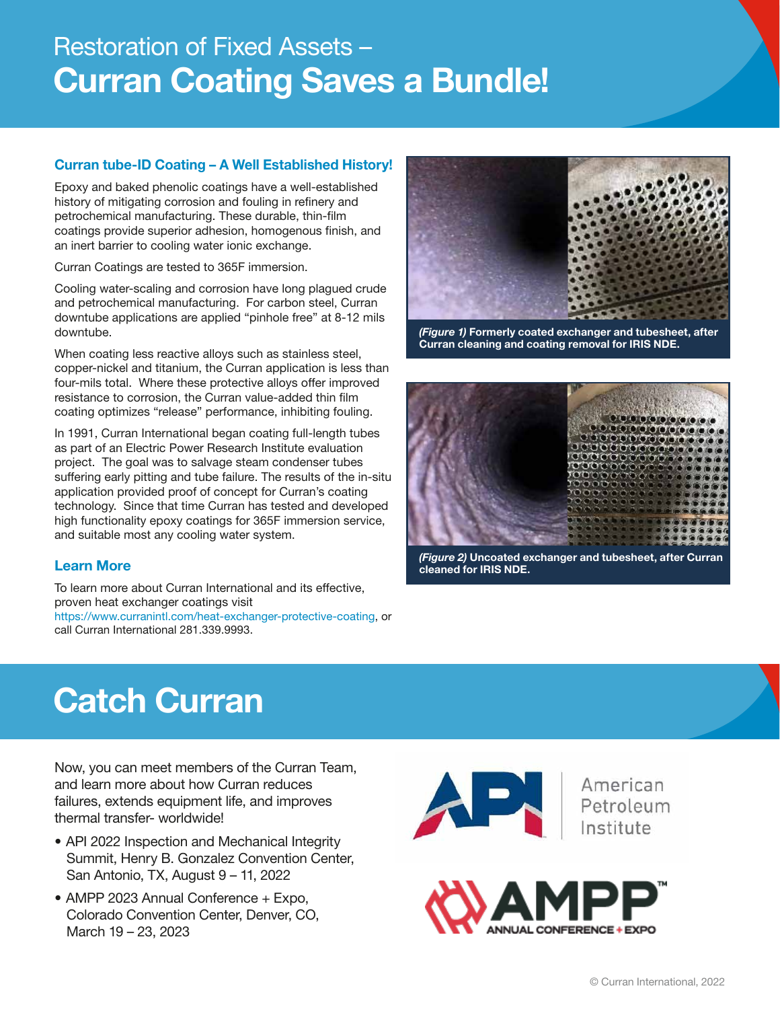# Restoration of Fixed Assets – **Curran Coating Saves a Bundle!**

# **Curran tube-ID Coating – A Well Established History!**

Epoxy and baked phenolic coatings have a well-established history of mitigating corrosion and fouling in refinery and petrochemical manufacturing. These durable, thin-film coatings provide superior adhesion, homogenous finish, and an inert barrier to cooling water ionic exchange.

Curran Coatings are tested to 365F immersion.

Cooling water-scaling and corrosion have long plagued crude and petrochemical manufacturing. For carbon steel, Curran downtube applications are applied "pinhole free" at 8-12 mils downtube.

When coating less reactive alloys such as stainless steel, copper-nickel and titanium, the Curran application is less than four-mils total. Where these protective alloys offer improved resistance to corrosion, the Curran value-added thin film coating optimizes "release" performance, inhibiting fouling.

In 1991, Curran International began coating full-length tubes as part of an Electric Power Research Institute evaluation project. The goal was to salvage steam condenser tubes suffering early pitting and tube failure. The results of the in-situ application provided proof of concept for Curran's coating technology. Since that time Curran has tested and developed high functionality epoxy coatings for 365F immersion service, and suitable most any cooling water system.

# **Learn More**

To learn more about Curran International and its effective, proven heat exchanger coatings visit https://www.curranintl.com/heat-exchanger-protective-coating, or call Curran International 281.339.9993.



*(Figure 1)* **Formerly coated exchanger and tubesheet, after Curran cleaning and coating removal for IRIS NDE.**



*(Figure 2)* **Uncoated exchanger and tubesheet, after Curran cleaned for IRIS NDE.** 

# **Catch Curran**

Now, you can meet members of the Curran Team, and learn more about how Curran reduces failures, extends equipment life, and improves thermal transfer- worldwide!

- API 2022 Inspection and Mechanical Integrity Summit, Henry B. Gonzalez Convention Center, San Antonio, TX, August 9 – 11, 2022
- AMPP 2023 Annual Conference + Expo, Colorado Convention Center, Denver, CO, March 19 – 23, 2023



American<br>Petroleum<br>Institute